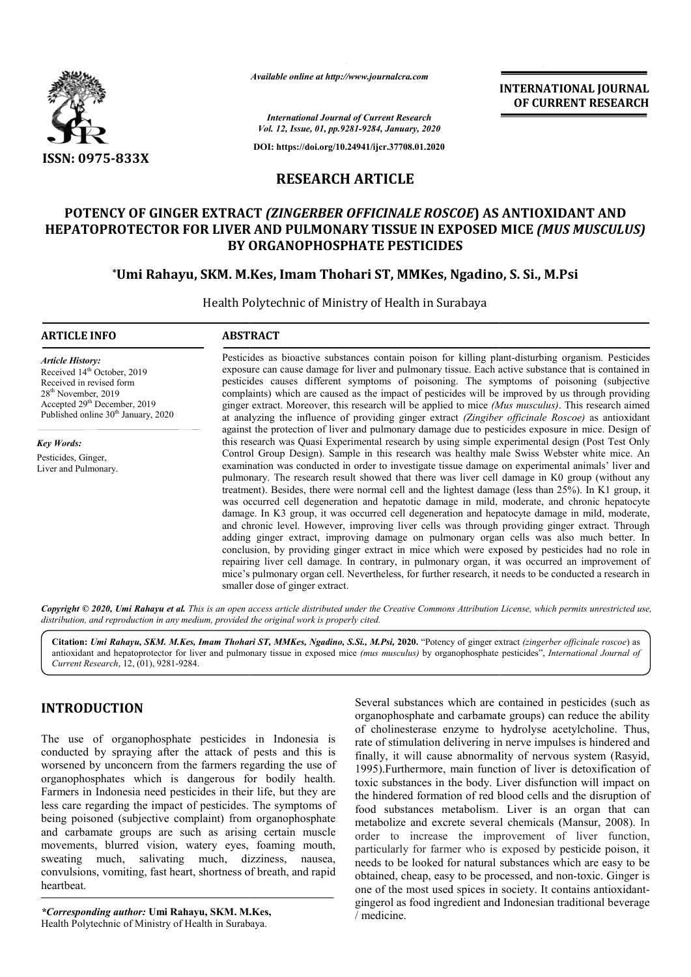

*Available online at http://www.journalcra.com*

**INTERNATIONAL JOURNAL OF CURRENT RESEARCH**

*International Journal of Current Research Vol. 12, Issue, 01, pp.9281-9284, January, 2020*

**DOI: https://doi.org/10.24941/ijcr.37708.01.2020**

# **RESEARCH ARTICLE**

# **POTENCY OF GINGER EXTRACT**  *(ZINGERBER OFFICINALE ROSCOE***) AS ANTIOXIDANT AND HEPATOPROTECTOR FOR LIVER AND PULMONARY TISSUE IN EXPOSED MICE EXPOSED MICE** *(MUS MUSCULUS)* **BY ORGANOPHOSPHATE PESTICIDES**

# **\*Umi Rahayu, SKM. M.Kes, Imam Thohari ST, MMKes, Ngadino, S. Umi Umi Si., M.Psi**

Health Polytechnic of Ministry of Health in Surabaya

#### **ARTICLE INFO ABSTRACT**

*Article History:* Received 14<sup>th</sup> October, 2019 Received in revised form 28th November, 2019 Accepted 29<sup>th</sup> December, 2019 Published online 30<sup>th</sup> January, 2020

*Key Words:* Pesticides, Ginger, Liver and Pulmonary.

Pesticides as bioactive substances contain poison for killing plant-disturbing organism. Pesticides exposure can cause damage for liver and pulmonary tissue. Each active substance that is contained in pesticides causes different symptoms of poisoning. The symptoms of poisoning (subjective complaints) which are caused as the impact of pesticides will be improved by us through providing ginger extract. Moreover, this research will be applied to mice *(Mus musculus)* at analyzing the influence of providing ginger extract *(Zingiber officinale Roscoe)* as antioxidant against the protection of liver and pulmonary damage due to pesticides exposure in mice. Design of against the protection of liver and pulmonary damage due to pesticides exposure in mice. Design of this research was Quasi Experimental research by using simple experimental design (Post Test Only Control Group Design). Sample in this research was healthy male Swiss Webster white mice. An examination was conducted in order to investigate tissue damage on experimental animals' liver and pulmonary. The research result showed that there was liver cell damage in K0 group (without any treatment). Besides, there were normal cell and the lightest damage (less than 25%). In K1 group, it was occurred cell degeneration and hepatotic damage in mild, moderate, and chronic hepatocyte damage. In K3 group, it was occurred cell degeneration and hepatocyte damage in mild, moderate, and chronic level. However, improving liver cells was through providing ginger extract. Through adding ginger extract, improving damage on pulmonary organ cells was also much better. In conclusion, by providing ginger extract in mice which were exposed by pesticides had no role in repairing liver cell damage. In contrary, in pulmonary organ, it was occurred an improvement of conclusion, by providing ginger extract in mice which were exposed by pesticides had no role in repairing liver cell damage. In contrary, in pulmonary organ, it was occurred an improvement of mice's pulmonary organ cell. N smaller dose of ginger extract. exposure can cause damage for liver and pulmonary tissue. Each active substance that is contained in pesticides causes different symptoms of poisoning. The symptoms of poisoning (subjective complaints) which are caused as Control Group Design). Sample in this research was healthy male Swiss Webster white mice. An examination was conducted in order to investigate tissue damage on experimental animals' liver and pulmonary. The research result

Copyright © 2020, Umi Rahayu et al. This is an open access article distributed under the Creative Commons Attribution License, which permits unrestricted use, *distribution, and reproduction in any medium, provided the original work is properly cited.*

Citation: Umi Rahayu, SKM. M.Kes, Imam Thohari ST, MMKes, Ngadino, S.Si., M.Psi, 2020. "Potency of ginger extract (zingerber officinale roscoe) as antioxidant and hepatoprotector for liver and pulmonary tissue in exposed mice *(mus musculus)* by organophosphate pesticides pesticides", *International Journal ofCurrent Research*, 12, (01), 9281-9284.

# **INTRODUCTION**

The use of organophosphate pesticides in Indonesia is conducted by spraying after the attack of pests and this is worsened by unconcern from the farmers regarding the use of organophosphates which is dangerous for bodily health. Farmers in Indonesia need pesticides in their life, but they are less care regarding the impact of pesticides. The symptoms of being poisoned (subjective complaint) from organophosphate and carbamate groups are such as arising certain muscle movements, blurred vision, watery eyes, foaming mouth, sweating much, salivating much, dizziness, nausea, convulsions, vomiting, fast heart, shortness of breath, and rapid heartbeat. esticides in their life, but they are<br>ct of pesticides. The symptoms of<br>complaint) from organophosphate<br>such as arising certain muscle<br>, watery eyes, foaming mouth,

*\*Corresponding author:* **Umi Rahayu, SKM. M. .Kes,**  Health Polytechnic of Ministry of Health in Surabaya.

Several substances which are contained in pesticides (such as organophosphate and carbamate groups) can reduce the ability of cholinesterase enzyme to hydrolyse acetylcholine. Thus, rate of stimulation delivering in nerve impulses is hindered and finally, it will cause abnormality of nervous system (Rasyid, 1995).Furthermore, main function of liver is detoxification of toxic substances in the body. Liver disfunction will impact on the hindered formation of red blood cells and the disruption of food substances metabolism. Liver is an organ that can metabolize and excrete several chemicals (Mansur, 2008). order to increase the improvement of liver function, order to increase the improvement of liver function, particularly for farmer who is exposed by pesticide poison, it needs to be looked for natural substances which are easy to be needs to be looked for natural substances which are easy to be obtained, cheap, easy to be processed, and non-toxic. Ginger is one of the most used spices in society. It contains antioxidantgingerol as food ingredient and Indonesian traditional beverage / medicine. Several substances which are contained in pesticides (such as organophosphate and carbamate groups) can reduce the ability of cholinesterase enzyme to hydrolyse acetylcholine. Thus, rate of stimulation delivering in nerve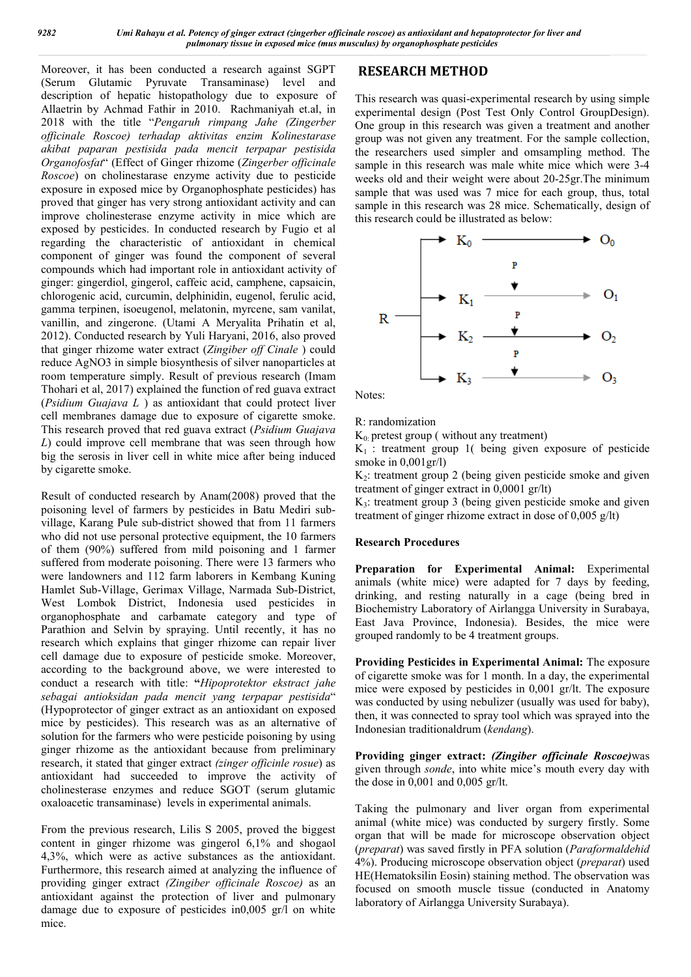Moreover, it has been conducted a research against SGPT (Serum Glutamic Pyruvate Transaminase) level and description of hepatic histopathology due to exposure of Allaetrin by Achmad Fathir in 2010. Rachmaniyah et.al, in 2018 with the title "*Pengaruh rimpang Jahe (Zingerber officinale Roscoe) terhadap aktivitas enzim Kolinestarase akibat paparan pestisida pada mencit terpapar pestisida Organofosfat*" (Effect of Ginger rhizome (*Zingerber officinale Roscoe*) on cholinestarase enzyme activity due to pesticide exposure in exposed mice by Organophosphate pesticides) has proved that ginger has very strong antioxidant activity and can improve cholinesterase enzyme activity in mice which are exposed by pesticides. In conducted research by Fugio et al regarding the characteristic of antioxidant in chemical component of ginger was found the component of several compounds which had important role in antioxidant activity of ginger: gingerdiol, gingerol, caffeic acid, camphene, capsaicin, chlorogenic acid, curcumin, delphinidin, eugenol, ferulic acid, gamma terpinen, isoeugenol, melatonin, myrcene, sam vanilat, vanillin, and zingerone. (Utami A Meryalita Prihatin et al, 2012). Conducted research by Yuli Haryani, 2016, also proved that ginger rhizome water extract (*Zingiber off Cinale* ) could reduce AgNO3 in simple biosynthesis of silver nanoparticles at room temperature simply. Result of previous research (Imam Thohari et al, 2017) explained the function of red guava extract (*Psidium Guajava L* ) as antioxidant that could protect liver cell membranes damage due to exposure of cigarette smoke. This research proved that red guava extract (*Psidium Guajava L*) could improve cell membrane that was seen through how big the serosis in liver cell in white mice after being induced by cigarette smoke.

Result of conducted research by Anam(2008) proved that the poisoning level of farmers by pesticides in Batu Mediri subvillage, Karang Pule sub-district showed that from 11 farmers who did not use personal protective equipment, the 10 farmers of them (90%) suffered from mild poisoning and 1 farmer suffered from moderate poisoning. There were 13 farmers who were landowners and 112 farm laborers in Kembang Kuning Hamlet Sub-Village, Gerimax Village, Narmada Sub-District, West Lombok District, Indonesia used pesticides in organophosphate and carbamate category and type of Parathion and Selvin by spraying. Until recently, it has no research which explains that ginger rhizome can repair liver cell damage due to exposure of pesticide smoke. Moreover, according to the background above, we were interested to conduct a research with title: **"***Hipoprotektor ekstract jahe sebagai antioksidan pada mencit yang terpapar pestisida*" (Hypoprotector of ginger extract as an antioxidant on exposed mice by pesticides). This research was as an alternative of solution for the farmers who were pesticide poisoning by using ginger rhizome as the antioxidant because from preliminary research, it stated that ginger extract *(zinger officinle rosue*) as antioxidant had succeeded to improve the activity of cholinesterase enzymes and reduce SGOT (serum glutamic oxaloacetic transaminase) levels in experimental animals.

From the previous research, Lilis S 2005, proved the biggest content in ginger rhizome was gingerol 6,1% and shogaol 4,3%, which were as active substances as the antioxidant. Furthermore, this research aimed at analyzing the influence of providing ginger extract *(Zingiber officinale Roscoe)* as an antioxidant against the protection of liver and pulmonary damage due to exposure of pesticides in0,005 gr/l on white mice.

## **RESEARCH METHOD**

This research was quasi-experimental research by using simple experimental design (Post Test Only Control GroupDesign). One group in this research was given a treatment and another group was not given any treatment. For the sample collection, the researchers used simpler and omsampling method. The sample in this research was male white mice which were 3-4 weeks old and their weight were about 20-25gr.The minimum sample that was used was 7 mice for each group, thus, total sample in this research was 28 mice. Schematically, design of this research could be illustrated as below:



Notes:

R: randomization

 $K_0$ : pretest group ( without any treatment)

 $K_1$ : treatment group 1( being given exposure of pesticide smoke in 0,001gr/l)

K2: treatment group 2 (being given pesticide smoke and given treatment of ginger extract in 0,0001 gr/lt)

K3: treatment group 3 (being given pesticide smoke and given treatment of ginger rhizome extract in dose of 0,005 g/lt)

#### **Research Procedures**

**Preparation for Experimental Animal:** Experimental animals (white mice) were adapted for 7 days by feeding, drinking, and resting naturally in a cage (being bred in Biochemistry Laboratory of Airlangga University in Surabaya, East Java Province, Indonesia). Besides, the mice were grouped randomly to be 4 treatment groups.

**Providing Pesticides in Experimental Animal:** The exposure of cigarette smoke was for 1 month. In a day, the experimental mice were exposed by pesticides in 0,001 gr/lt. The exposure was conducted by using nebulizer (usually was used for baby), then, it was connected to spray tool which was sprayed into the Indonesian traditionaldrum (*kendang*).

**Providing ginger extract:** *(Zingiber officinale Roscoe)*was given through *sonde*, into white mice's mouth every day with the dose in 0,001 and 0,005 gr/lt.

Taking the pulmonary and liver organ from experimental animal (white mice) was conducted by surgery firstly. Some organ that will be made for microscope observation object (*preparat*) was saved firstly in PFA solution (*Paraformaldehid* 4%). Producing microscope observation object (*preparat*) used HE(Hematoksilin Eosin) staining method. The observation was focused on smooth muscle tissue (conducted in Anatomy laboratory of Airlangga University Surabaya).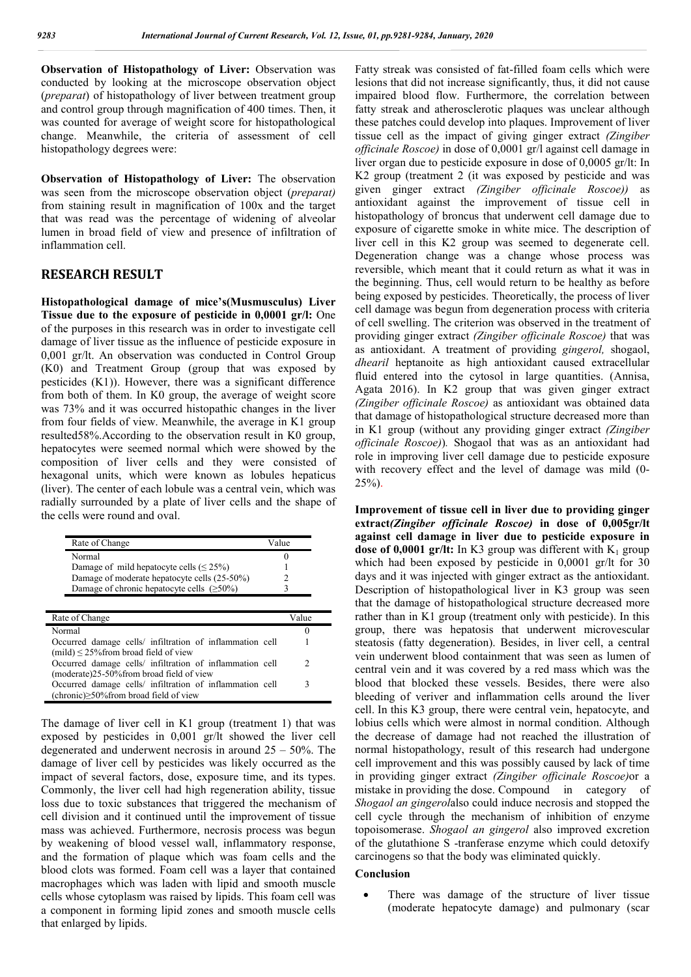**Observation of Histopathology of Liver:** Observation was conducted by looking at the microscope observation object (*preparat*) of histopathology of liver between treatment group and control group through magnification of 400 times. Then, it was counted for average of weight score for histopathological change. Meanwhile, the criteria of assessment of cell histopathology degrees were:

**Observation of Histopathology of Liver:** The observation was seen from the microscope observation object (*preparat)*  from staining result in magnification of 100x and the target that was read was the percentage of widening of alveolar lumen in broad field of view and presence of infiltration of inflammation cell.

## **RESEARCH RESULT**

**Histopathological damage of mice's(Musmusculus) Liver Tissue due to the exposure of pesticide in 0,0001 gr/l:** One of the purposes in this research was in order to investigate cell damage of liver tissue as the influence of pesticide exposure in 0,001 gr/lt. An observation was conducted in Control Group (K0) and Treatment Group (group that was exposed by pesticides (K1)). However, there was a significant difference from both of them. In K0 group, the average of weight score was 73% and it was occurred histopathic changes in the liver from four fields of view. Meanwhile, the average in K1 group resulted58%.According to the observation result in K0 group, hepatocytes were seemed normal which were showed by the composition of liver cells and they were consisted of hexagonal units, which were known as lobules hepaticus (liver). The center of each lobule was a central vein, which was radially surrounded by a plate of liver cells and the shape of the cells were round and oval.

| Rate of Change                                   | /alue |
|--------------------------------------------------|-------|
| Normal                                           |       |
| Damage of mild hepatocyte cells ( $\leq$ 25%)    |       |
| Damage of moderate hepatocyte cells (25-50%)     |       |
| Damage of chronic hepatocyte cells $(\geq 50\%)$ |       |

| Rate of Change                                                                                            | Value         |
|-----------------------------------------------------------------------------------------------------------|---------------|
| Normal                                                                                                    |               |
| Occurred damage cells/ infiltration of inflammation cell<br>(mild) $\leq$ 25% from broad field of view    |               |
| Occurred damage cells/ infiltration of inflammation cell<br>(moderate)25-50% from broad field of view     | $\mathcal{D}$ |
| Occurred damage cells/ infiltration of inflammation cell<br>(chronic) $\geq$ 50% from broad field of view |               |

The damage of liver cell in K1 group (treatment 1) that was exposed by pesticides in 0,001 gr/lt showed the liver cell degenerated and underwent necrosis in around 25 – 50%. The damage of liver cell by pesticides was likely occurred as the impact of several factors, dose, exposure time, and its types. Commonly, the liver cell had high regeneration ability, tissue loss due to toxic substances that triggered the mechanism of cell division and it continued until the improvement of tissue mass was achieved. Furthermore, necrosis process was begun by weakening of blood vessel wall, inflammatory response, and the formation of plaque which was foam cells and the blood clots was formed. Foam cell was a layer that contained macrophages which was laden with lipid and smooth muscle cells whose cytoplasm was raised by lipids. This foam cell was a component in forming lipid zones and smooth muscle cells that enlarged by lipids.

Fatty streak was consisted of fat-filled foam cells which were lesions that did not increase significantly, thus, it did not cause impaired blood flow. Furthermore, the correlation between fatty streak and atherosclerotic plaques was unclear although these patches could develop into plaques. Improvement of liver tissue cell as the impact of giving ginger extract *(Zingiber officinale Roscoe)* in dose of 0,0001 gr/l against cell damage in liver organ due to pesticide exposure in dose of 0,0005 gr/lt: In K2 group (treatment 2 (it was exposed by pesticide and was given ginger extract *(Zingiber officinale Roscoe))* as antioxidant against the improvement of tissue cell in histopathology of broncus that underwent cell damage due to exposure of cigarette smoke in white mice. The description of liver cell in this K2 group was seemed to degenerate cell. Degeneration change was a change whose process was reversible, which meant that it could return as what it was in the beginning. Thus, cell would return to be healthy as before being exposed by pesticides. Theoretically, the process of liver cell damage was begun from degeneration process with criteria of cell swelling. The criterion was observed in the treatment of providing ginger extract *(Zingiber officinale Roscoe)* that was as antioxidant. A treatment of providing *gingerol,* shogaol, *dhearil* heptanoite as high antioxidant caused extracellular fluid entered into the cytosol in large quantities. (Annisa, Agata 2016). In K2 group that was given ginger extract *(Zingiber officinale Roscoe)* as antioxidant was obtained data that damage of histopathological structure decreased more than in K1 group (without any providing ginger extract *(Zingiber officinale Roscoe)*)*.* Shogaol that was as an antioxidant had role in improving liver cell damage due to pesticide exposure with recovery effect and the level of damage was mild (0- 25%).

**Improvement of tissue cell in liver due to providing ginger extract***(Zingiber officinale Roscoe)* **in dose of 0,005gr/lt against cell damage in liver due to pesticide exposure in dose of 0,0001 gr/lt:** In K3 group was different with  $K_1$  group which had been exposed by pesticide in 0,0001 gr/lt for 30 days and it was injected with ginger extract as the antioxidant. Description of histopathological liver in K3 group was seen that the damage of histopathological structure decreased more rather than in K1 group (treatment only with pesticide). In this group, there was hepatosis that underwent microvescular steatosis (fatty degeneration). Besides, in liver cell, a central vein underwent blood containment that was seen as lumen of central vein and it was covered by a red mass which was the blood that blocked these vessels. Besides, there were also bleeding of veriver and inflammation cells around the liver cell. In this K3 group, there were central vein, hepatocyte, and lobius cells which were almost in normal condition. Although the decrease of damage had not reached the illustration of normal histopathology, result of this research had undergone cell improvement and this was possibly caused by lack of time in providing ginger extract *(Zingiber officinale Roscoe)*or a mistake in providing the dose. Compound in category of *Shogaol an gingerol*also could induce necrosis and stopped the cell cycle through the mechanism of inhibition of enzyme topoisomerase. *Shogaol an gingerol* also improved excretion of the glutathione S -tranferase enzyme which could detoxify carcinogens so that the body was eliminated quickly.

## **Conclusion**

 There was damage of the structure of liver tissue (moderate hepatocyte damage) and pulmonary (scar